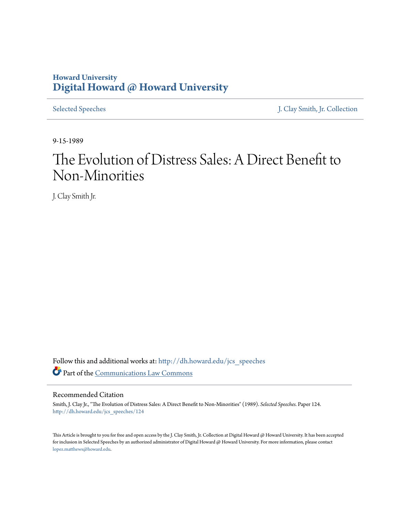## **Howard University [Digital Howard @ Howard University](http://dh.howard.edu?utm_source=dh.howard.edu%2Fjcs_speeches%2F124&utm_medium=PDF&utm_campaign=PDFCoverPages)**

[Selected Speeches](http://dh.howard.edu/jcs_speeches?utm_source=dh.howard.edu%2Fjcs_speeches%2F124&utm_medium=PDF&utm_campaign=PDFCoverPages) [J. Clay Smith, Jr. Collection](http://dh.howard.edu/jcsmith?utm_source=dh.howard.edu%2Fjcs_speeches%2F124&utm_medium=PDF&utm_campaign=PDFCoverPages)

9-15-1989

# The Evolution of Distress Sales: A Direct Benefit to Non-Minorities

J. Clay Smith Jr.

Follow this and additional works at: [http://dh.howard.edu/jcs\\_speeches](http://dh.howard.edu/jcs_speeches?utm_source=dh.howard.edu%2Fjcs_speeches%2F124&utm_medium=PDF&utm_campaign=PDFCoverPages) Part of the [Communications Law Commons](http://network.bepress.com/hgg/discipline/587?utm_source=dh.howard.edu%2Fjcs_speeches%2F124&utm_medium=PDF&utm_campaign=PDFCoverPages)

### Recommended Citation

Smith, J. Clay Jr., "The Evolution of Distress Sales: A Direct Benefit to Non-Minorities" (1989). *Selected Speeches.* Paper 124. [http://dh.howard.edu/jcs\\_speeches/124](http://dh.howard.edu/jcs_speeches/124?utm_source=dh.howard.edu%2Fjcs_speeches%2F124&utm_medium=PDF&utm_campaign=PDFCoverPages)

This Article is brought to you for free and open access by the J. Clay Smith, Jr. Collection at Digital Howard @ Howard University. It has been accepted for inclusion in Selected Speeches by an authorized administrator of Digital Howard @ Howard University. For more information, please contact [lopez.matthews@howard.edu.](mailto:lopez.matthews@howard.edu)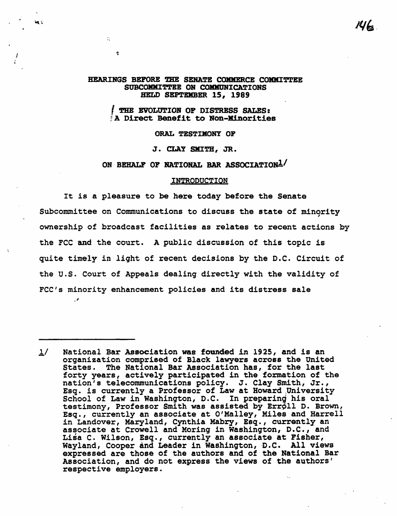$146.$ 

#### HEARINGS BEFORE THE SENATE COMMERCE COMMITTEE SUBCOMMITTEE ON COMMUNICATIONS HELD SEPTEMBER 15, 1989

**THE EVOLUTION OF DISTRESS SALES:** A Direct Benefit to Non-Minorities

ORAL TESTIMONY OF

J. CLAY SMITH, JR.

ON BEHALF OF NATIONAL BAR ASSOCIATION<sup>1</sup>/

#### INTRODUCTION

It is a pleasure to be here today before the Senate Subcommittee on Communications to discuss the state of minqrity ownership of broadcast facilities as relates to recent actions by the FCC and the court. A public discussion of this topic is quite timely in light of recent decisions by the D.C. Circuit of the u.s. Court of Appeals dealing directly with the validity of FCC's minority enhancement policies and its distress sale

."

 $\mathcal{M}$ 

 $\hat{\mathbf{r}}$ 

 $1/$  National Bar Association was founded in 1925, and is an organization comprised of Black lawyers across the United States. The National Bar Association has, for the last forty years, actively participated in the formation of the nation's telecommunications policy. J. Clay Smith, Jr.,<br>Esq. is currently a Professor of Law at Howard University School of Law in Washington, D.C. In preparing his oral testimony, Professor Smith was assisted by Erroll D. Brown, Esq., currently an associate at O'Malley, Miles and Harrell in Landover, Maryland, Cynthia Mabry, Esq., currently an associate at Crowell and Moring in Washington, D.C., and Lisa C. Wilson, Esq., currently an associate at Fisher, Wayland, Cooper and Leader in Washington, D.C. All views expressed are those of the authors and of the National Bar Association, and do not express the views of the authors' respective employers.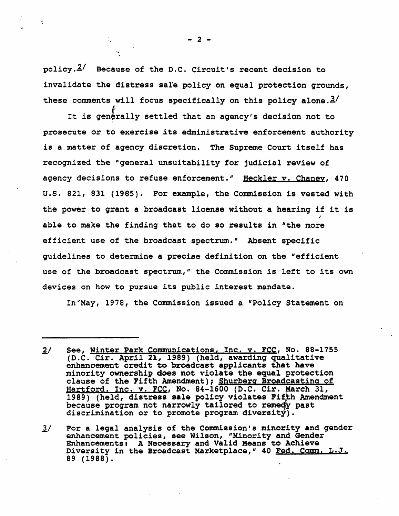policy. $2/$  Because of the D.C. Circuit's recent decision to invalidate the distress sale policy on equal protection grounds, these comments will focus specifically on this policy alone. $3/$ 

It is generally settled that an agency's decision not to prosecute or to exercise its administrative enforcement authority is a matter of agency discretion. The Supreme Court itself has recognized the "general unsuitability for judicial review of agency decisions to refuse enforcement." Heckler y. Chaney, 470 u.s. 821, 831 (1985). For example, the Commission is vested with the power to grant a broadcast license without a hearing if it is able to make the finding that to do so results in "the more efficient use of the broadcast spectrum." Absent specific guidelines to determine a precise definition on the "efficient use of the broadcast spectrum," the Commission is left to its own devices on how to pursue its public interest mandate.

In'May, 1978, the Commission issued a "Policy Statement on

 $- 2 -$ 

<sup>£/</sup> See, Winter Park Communications, Inc. v. FCC, No. 88-1755 (D.C. Cir. April 21, 1989) (held, awarding qualitative enhancement credit to broadcast applicants that have enhancement credit to broadcast applicants that have minority ownership does not violate the equal protection clause of the Fifth Amendment); Shurberg Broadcasting of Hartford, Inc. v. FCC, No. 84-1600 (D.C. Cir. March 31, 1989) (held, distress sale policy violates Fifth Amendment<br>because program not narrowly tailored to remedy past discrimination or to promote program diversity).

<sup>~/</sup> For a legal analysiS of the Commission's minority and gender enhancement policies, see Wilson, "Minority and Gender Enhancements: A Necessary and Valid Means to Achieve Diversity in the Broadcast Marketplace," 40 Fed. Comm. L.J. 89 (1988).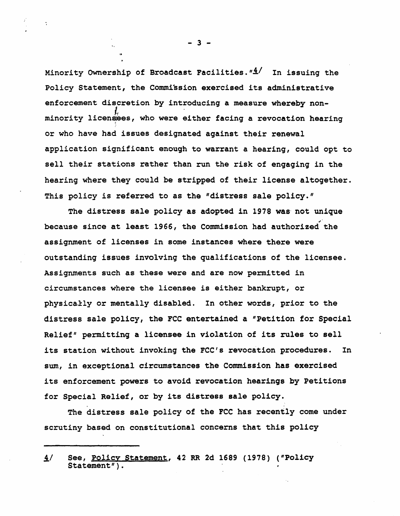Minority Ownership of Broadcast Facilities.  $4/$  In issuing the Policy Statement, the Commission exercised its administrative enforcement discretion by introducing a measure whereby non-<br>*I<sub>n</sub>*<br>minority licensees, who were either facing a revocation hearing or who have had issues designated against their renewal application significant enough to warrant a hearing, could opt to sell their stations rather than run the risk of engaging in the hearing where they could be stripped of their license altogether. This policy is referred to as the "distress sale policy."

The distress sale policy as adopted in 1978 was' not unique because since at least 1966, the Commission had authorized the assignment of licenses in some instances where there were outstanding issues involving the qualifications of the licensee. Assignments such as these were and are now permitted in circumstances where the licensee is either bankrupt, or physically or mentally disabled. In other words, prior to the distress sale policy, the FCC entertained a "Petition for Special Relief" permitting a licensee in violation of its rules to sell its station without invoking the FCC's revocation procedures. In sum, in exceptional circumstances the Commission has exercised its enforcement powers to avoid revocation hearings by Petitions for Special Relief, or by its distress sale policy.

The distress sale policy of the FCC has recently come under scrutiny based on constitutional concerns that this policy

- 3 -

.,.

if See, Policy Statement, 42 RR 2d 1689 (1978) ("Policy  $Statement'$ ).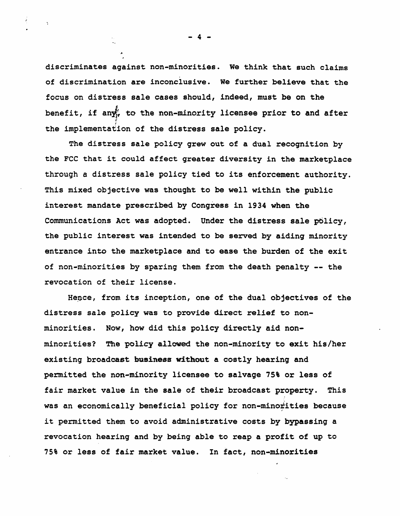discriminates against non-minorities. We think that such claims of discrimination are inconclusive. We further believe that the focus on distress sale cases should, indeed, must be on the benefit, if any $_{ir}$  to the non-minority licensee prior to and after  $\frac{1}{2}$ the implementation of the distress sale policy.

The distress sale policy grew out of a dual recognition by the FCC that it could affect greater diversity in the marketplace through a distress sale policy tied to its enforcement authority. This mixed objective was thought to be well within the public interest mandate prescribed by Congress in 1934 when the Communications Act was adopted. Under the distress sale policy, the public interest was intended to be served by aiding minority entrance into the marketplace and to ease the burden of the exit of non-minorities by sparing them from the death penalty -- the revocation of their license.

Hence, from its inception, one of the dual objectives of the distress sale policy was to provide direct relief to nonminorities. Now, how did this policy directly aid nonminorities? The policy allowed the non-minority to exit his/her existing broadcast business without a costly hearing and permitted the non-minority licensee to salvage 75% or less of fair market value in the sale of their broadcast property. This was an economically beneficial policy for non-minortities because it permitted them to avoid administrative costs by bypassing a revocation hearing and by being able to reap a profit of up to 75% or less of fair market value. In fact, non-minorities

- 4 -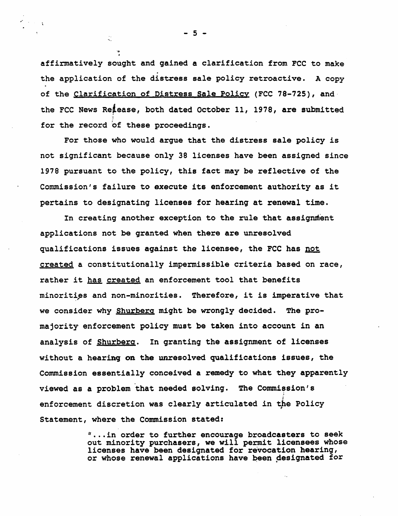affirmatively sought and gained a clarification from FCC to make the application of the distress sale policy retroactive. A copy of the Clarification of Distress Sale Policy (FCC 78-725), and the FCC News Reiease, both dated October 11, 1978, are submitted for the record of these proceedings.

For those who would argue that the distress sale policy is not significant because only 38 licenses have been assigned since 1978 pursuant to the policy, this fact may be reflective of the Commission's failure to execute its enforcement authority as it pertains to designating licenses for hearing at renewal time.

In creating another exception to the rule that assignment applications not be granted when there are unresolved qualifications issues aqainst the licensee, the FCC has not created a constitutionally impermissible criteria based on race, rather it has created an enforcement tool that benefits minorities and non-minorities. Therefore, it is imperative that we consider why Shurberq might be wrongly decided. The promajority' enforcement policy must be taken into account in an analysis of Shurberg. In granting the assignment of licenses without a hearing on the unresolved qualifications issues, the Commission essentially conceived a remedy to what they apparently viewed as a problem that needed solving. The Commiesion's enforcement discretion was clearly articulated in the Policy Statement, where the Commission stated:

> $"$ ...in order to further encourage broadcasters to seek out minority purchasers, we will permit licensees whose licenses have been designated for revocation hearing, or whose renewal applications have been designated for

 $-5 -$ 

 $\frac{1}{\sqrt{2}}$